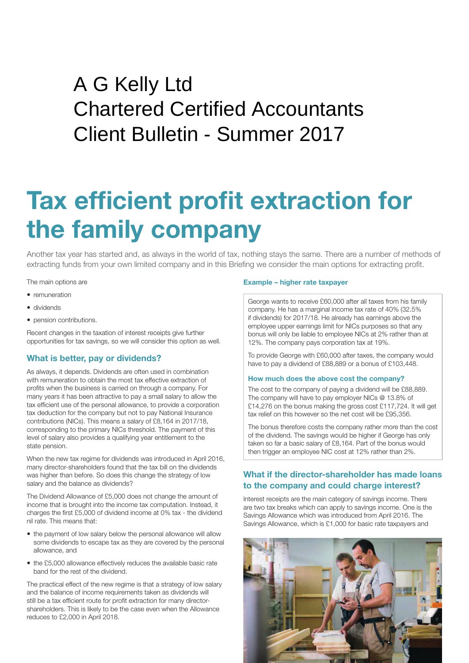## Client Bulletin - Summer 2017 A G Kelly Ltd Chartered Certified Accountants

# **Tax efficient profit extraction for the family company**

Another tax year has started and, as always in the world of tax, nothing stays the same. There are a number of methods of extracting funds from your own limited company and in this Briefing we consider the main options for extracting profit.

The main options are

- remuneration
- dividends
- pension contributions.

Recent changes in the taxation of interest receipts give further opportunities for tax savings, so we will consider this option as well.

## **What is better, pay or dividends?**

As always, it depends. Dividends are often used in combination with remuneration to obtain the most tax effective extraction of profits when the business is carried on through a company. For many years it has been attractive to pay a small salary to allow the tax efficient use of the personal allowance, to provide a corporation tax deduction for the company but not to pay National Insurance contributions (NICs). This means a salary of £8,164 in 2017/18, corresponding to the primary NICs threshold. The payment of this level of salary also provides a qualifying year entitlement to the state pension.

When the new tax regime for dividends was introduced in April 2016, many director-shareholders found that the tax bill on the dividends was higher than before. So does this change the strategy of low salary and the balance as dividends?

The Dividend Allowance of £5,000 does not change the amount of income that is brought into the income tax computation. Instead, it charges the first £5,000 of dividend income at 0% tax - the dividend nil rate. This means that:

- the payment of low salary below the personal allowance will allow some dividends to escape tax as they are covered by the personal allowance, and
- the £5,000 allowance effectively reduces the available basic rate band for the rest of the dividend.

The practical effect of the new regime is that a strategy of low salary and the balance of income requirements taken as dividends will still be a tax efficient route for profit extraction for many directorshareholders. This is likely to be the case even when the Allowance reduces to £2,000 in April 2018.

## **Example – higher rate taxpayer**

George wants to receive £60,000 after all taxes from his family company. He has a marginal income tax rate of 40% (32.5% if dividends) for 2017/18. He already has earnings above the employee upper earnings limit for NICs purposes so that any bonus will only be liable to employee NICs at 2% rather than at 12%. The company pays corporation tax at 19%.

To provide George with £60,000 after taxes, the company would have to pay a dividend of £88,889 or a bonus of £103,448.

## **How much does the above cost the company?**

The cost to the company of paying a dividend will be £88,889. The company will have to pay employer NICs @ 13.8% of £14,276 on the bonus making the gross cost £117,724. It will get tax relief on this however so the net cost will be £95,356.

The bonus therefore costs the company rather more than the cost of the dividend. The savings would be higher if George has only taken so far a basic salary of £8,164. Part of the bonus would then trigger an employee NIC cost at 12% rather than 2%.

## **What if the director-shareholder has made loans to the company and could charge interest?**

Interest receipts are the main category of savings income. There are two tax breaks which can apply to savings income. One is the Savings Allowance which was introduced from April 2016. The Savings Allowance, which is £1,000 for basic rate taxpayers and